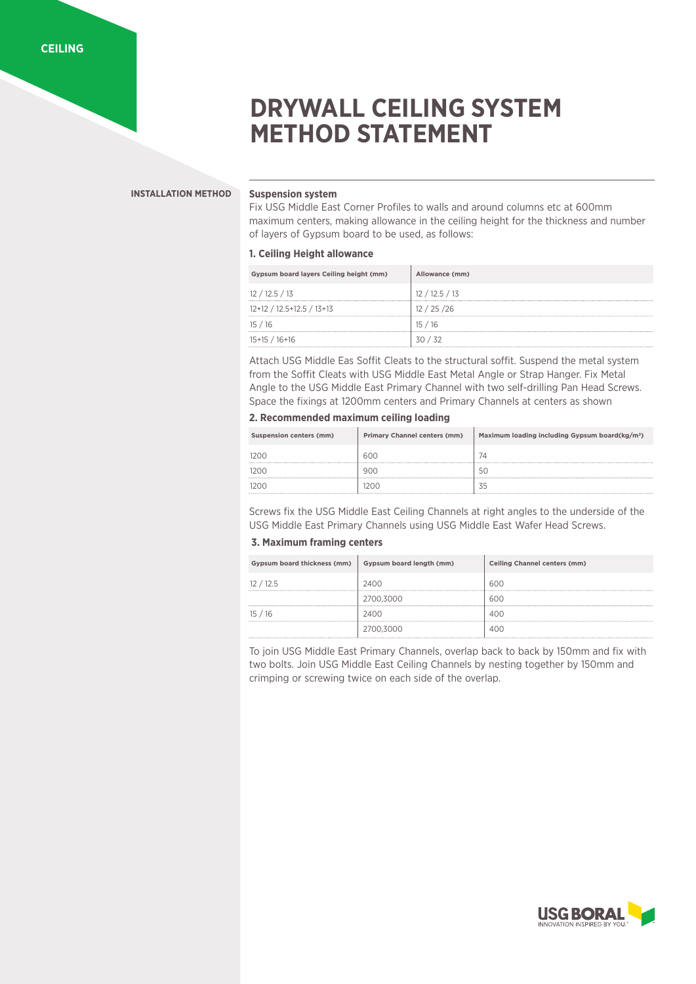# **DRYWALL CEILING SYSTEM METHOD STATEMENT**

#### **INSTALLATION METHOD**

### **Suspension system**

Fix USG Middle East Corner Profiles to walls and around columns etc at 600mm maximum centers, making allowance in the ceiling height for the thickness and number of layers of Gypsum board to be used, as follows:

### **1. Ceiling Height allowance**

| Gypsum board layers Ceiling height (mm) | Allowance (mm) |
|-----------------------------------------|----------------|
| 12/12.5/13                              | 12/12.5/13     |
|                                         |                |
| 12+12 / 12.5+12.5 / 13+13               | 12/25/26       |
|                                         |                |
| 15/16                                   | 15/16          |
|                                         |                |
| $15+15/16+16$                           | 30/32          |

Attach USG Middle Eas Soffit Cleats to the structural soffit. Suspend the metal system from the Soffit Cleats with USG Middle East Metal Angle or Strap Hanger. Fix Metal Angle to the USG Middle East Primary Channel with two self-drilling Pan Head Screws. Space the fixings at 1200mm centers and Primary Channels at centers as shown

# **2. Recommended maximum ceiling loading**

| Suspension centers (mm) | <b>Primary Channel centers (mm)</b> | Maximum loading including Gypsum board(kg/m <sup>2</sup> ) |
|-------------------------|-------------------------------------|------------------------------------------------------------|
|                         | 600                                 |                                                            |
|                         | 900                                 |                                                            |
|                         | 200                                 |                                                            |

Screws fix the USG Middle East Ceiling Channels at right angles to the underside of the USG Middle East Primary Channels using USG Middle East Wafer Head Screws.

# **3. Maximum framing centers**

| Gypsum board thickness (mm) | Gypsum board length (mm)                  | Ceiling Channel centers (mm) |
|-----------------------------|-------------------------------------------|------------------------------|
| 12.5<br>                    | 2400<br>                                  | 600                          |
|                             | 2700.3000<br>---------------------------- | 60C                          |
| - 16<br>l5                  | 2400                                      | 400                          |
|                             |                                           |                              |

To join USG Middle East Primary Channels, overlap back to back by 150mm and fix with two bolts. Join USG Middle East Ceiling Channels by nesting together by 150mm and crimping or screwing twice on each side of the overlap.

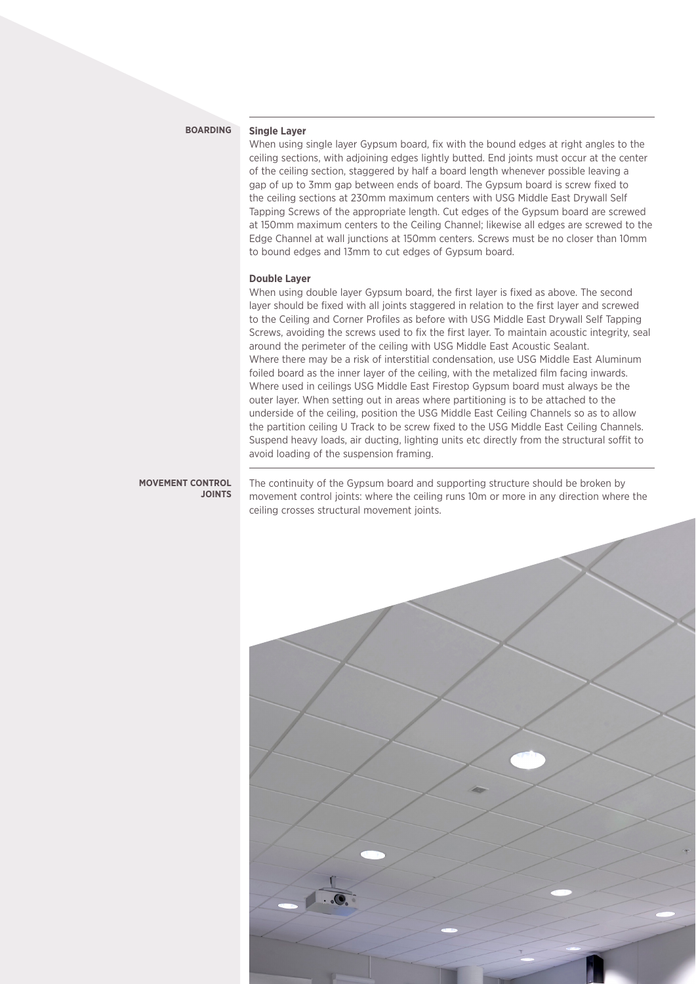#### **BOARDING**

#### **Single Layer**

When using single layer Gypsum board, fix with the bound edges at right angles to the ceiling sections, with adjoining edges lightly butted. End joints must occur at the center of the ceiling section, staggered by half a board length whenever possible leaving a gap of up to 3mm gap between ends of board. The Gypsum board is screw fixed to the ceiling sections at 230mm maximum centers with USG Middle East Drywall Self Tapping Screws of the appropriate length. Cut edges of the Gypsum board are screwed at 150mm maximum centers to the Ceiling Channel; likewise all edges are screwed to the Edge Channel at wall junctions at 150mm centers. Screws must be no closer than 10mm to bound edges and 13mm to cut edges of Gypsum board.

#### **Double Layer**

When using double layer Gypsum board, the first layer is fixed as above. The second layer should be fixed with all joints staggered in relation to the first layer and screwed to the Ceiling and Corner Profiles as before with USG Middle East Drywall Self Tapping Screws, avoiding the screws used to fix the first layer. To maintain acoustic integrity, seal around the perimeter of the ceiling with USG Middle East Acoustic Sealant. Where there may be a risk of interstitial condensation, use USG Middle East Aluminum foiled board as the inner layer of the ceiling, with the metalized film facing inwards. Where used in ceilings USG Middle East Firestop Gypsum board must always be the outer layer. When setting out in areas where partitioning is to be attached to the underside of the ceiling, position the USG Middle East Ceiling Channels so as to allow the partition ceiling U Track to be screw fixed to the USG Middle East Ceiling Channels. Suspend heavy loads, air ducting, lighting units etc directly from the structural soffit to avoid loading of the suspension framing.

#### **MOVEMENT CONTROL JOINTS**

The continuity of the Gypsum board and supporting structure should be broken by movement control joints: where the ceiling runs 10m or more in any direction where the ceiling crosses structural movement joints.